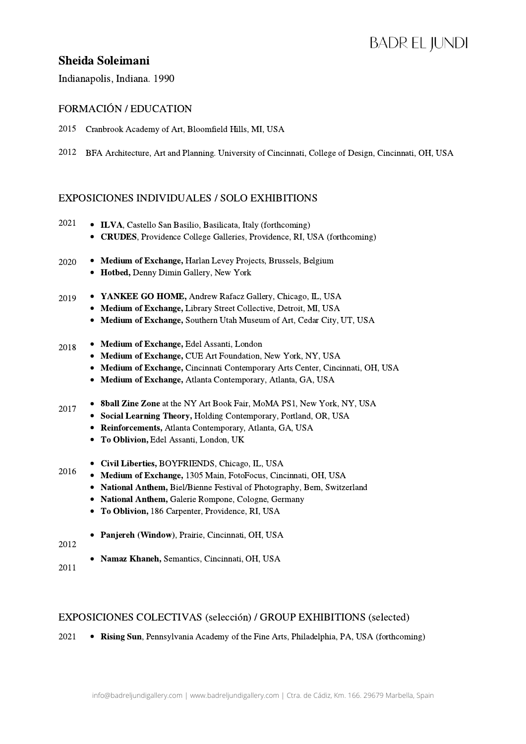# **BADREL JUNDI**

## Sheida Soleimani

Indianapolis, Indiana. 1990

#### FORMACIÓN / EDUCATION

2015 Cranbrook Academy of Art, Bloomfield Hills, MI, USA

2012 BFA Architecture, Art and Planning. University of Cincinnati, College of Design, Cincinnati, OH, USA

### EXPOSICIONES INDIVIDUALES / SOLO EXHIBITIONS

- ILVA, Castello San Basilio, Basilicata, Italy (forthcoming) CRUDES, Providence College Galleries, Providence, RI, USA (forthcoming) 2021
- Medium of Exchange, Harlan Levey Projects, Brussels, Belgium Hotbed, Denny Dimin Gallery, New York 2020
- YANKEE GO HOME, Andrew Rafacz Gallery, Chicago, IL, USA 2019
	- Medium of Exchange, Library Street Collective, Detroit, MI, USA • Medium of Exchange, Southern Utah Museum of Art, Cedar City, UT, USA
- Medium of Exchange, Edel Assanti, London 2018
	- Medium of Exchange, CUE Art Foundation, New York, NY, USA
	- Medium of Exchange, Cincinnati Contemporary Arts Center, Cincinnati, OH, USA
	- Medium of Exchange, Atlanta Contemporary, Atlanta, GA, USA
- 8ball Zine Zone at the NY Art Book Fair, MoMA PS1, New York, NY, USA 2017
	- Social Learning Theory, Holding Contemporary, Portland, OR, USA
	- Reinforcements, Atlanta Contemporary, Atlanta, GA, USA
	- To Oblivion, Edel Assanti, London, UK
- Civil Liberties, BOYFRIENDS, Chicago, IL, USA 2016
	- Medium of Exchange, 1305 Main, FotoFocus, Cincinnati, OH, USA
	- National Anthem, Biel/Bienne Festival of Photography, Bern, Switzerland
	- National Anthem, Galerie Rompone, Cologne, Germany
	- To Oblivion, 186 Carpenter, Providence, RI, USA
	- Panjereh (Window), Prairie, Cincinnati, OH, USA
- 2012
	- Namaz Khaneh, Semantics, Cincinnati, OH, USA
- 2011

#### EXPOSICIONES COLECTIVAS (selección) / GROUP EXHIBITIONS (selected)

2021 • Rising Sun, Pennsylvania Academy of the Fine Arts, Philadelphia, PA, USA (forthcoming)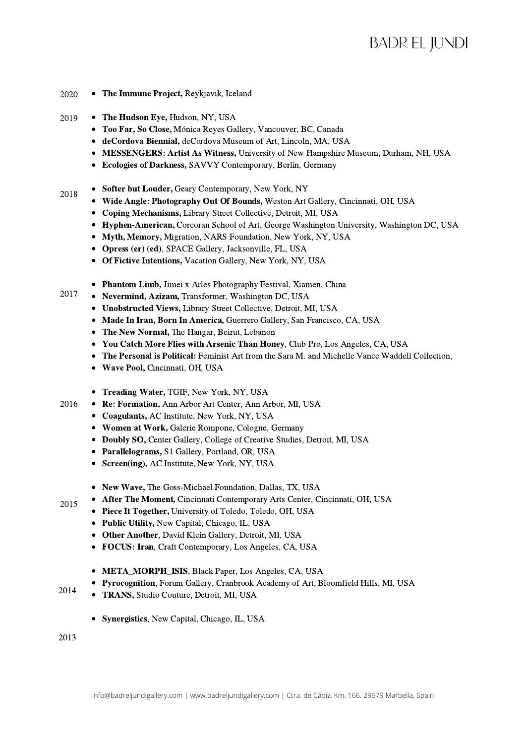- The Immune Project, Reykjavik, Iceland 2020
- The Hudson Eye, Hudson, NY, USA 2019
	- Too Far, So Close, Mónica Reyes Gallery, Vancouver, BC, Canada
	- deCordova Biennial, deCordova Museum of Art, Lincoln, MA, USA
	- MESSENGERS: Artist As Witness, University of New Hampshire Museum, Durham, NH, USA
	- Ecologies of Darkness, SAVVY Contemporary, Berlin, Germany
- Softer but Louder, Geary Contemporary, New York, NY 2018
	- Wide Angle: Photography Out Of Bounds, Weston Art Gallery, Cincinnati, OH, USA
	- Coping Mechanisms, Library Street Collective, Detroit, MI, USA
	- Hyphen-American, Corcoran School of Art, George Washington University, Washington DC, USA
	- Myth, Memory, Migration, NARS Foundation, New York, NY, USA
	- Opress (er) (ed), SPACE Gallery, Jacksonville, FL, USA
	- Of Fictive Intentions, Vacation Gallery, New York, NY, USA
	- Phantom Limb, Jimei x Arles Photography Festival, Xiamen, China
- Nevermind, Azizam, Transformer, Washington DC, USA 2017
	- Unobstructed Views, Library Street Collective, Detroit, MI, USA
	- Made In Iran, Born In America, Guerrero Gallery, San Francisco, CA, USA
	- The New Normal, The Hangar, Beirut, Lebanon
	- You Catch More Flies with Arsenic Than Honey, Club Pro, Los Angeles, CA, USA
	- The Personal is Political: Feminist Art from the Sara M. and Michelle Vance Waddell Collection,
	- Wave Pool, Cincinnati, OH, USA
	- Treading Water, TGIF, New York, NY, USA
- Re: Formation, Ann Arbor Art Center, Ann Arbor, MI, USA 2016
	- Coagulants, AC Institute, New York, NY, USA
	- Women at Work, Galerie Rompone, Cologne, Germany
	- Doubly SO, Center Gallery, College of Creative Studies, Detroit, MI, USA
	- Parallelograms, S1 Gallery, Portland, OR, USA
	- Screen(ing), AC Institute, New York, NY, USA
	- New Wave, The Goss-Michael Foundation, Dallas, TX, USA
	- After The Moment, Cincinnati Contemporary Arts Center, Cincinnati, OH, USA
	- Piece It Together, University of Toledo, Toledo, OH, USA
	- Public Utility, New Capital, Chicago, IL, USA
	- Other Another, David Klein Gallery, Detroit, MI, USA
	- FOCUS: Iran, Craft Contemporary, Los Angeles, CA, USA
	- META\_MORPH\_ISIS, Black Paper, Los Angeles, CA, USA
	- Pyrocognition, Forum Gallery, Cranbrook Academy of Art, Bloomfield Hills, MI, USA
- TRANS, Studio Couture, Detroit, MI, USA 2014
	- Synergistics, New Capital, Chicago, IL, USA

2013

2015